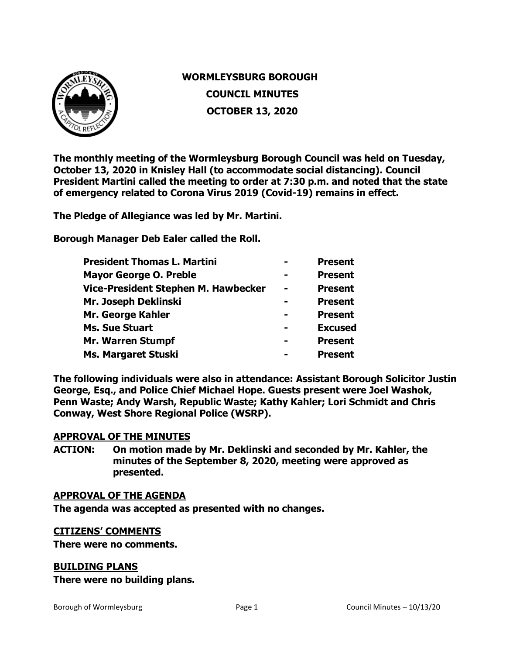

# **WORMLEYSBURG BOROUGH COUNCIL MINUTES OCTOBER 13, 2020**

**The monthly meeting of the Wormleysburg Borough Council was held on Tuesday, October 13, 2020 in Knisley Hall (to accommodate social distancing). Council President Martini called the meeting to order at 7:30 p.m. and noted that the state of emergency related to Corona Virus 2019 (Covid-19) remains in effect.**

**The Pledge of Allegiance was led by Mr. Martini.** 

**Borough Manager Deb Ealer called the Roll.**

| <b>President Thomas L. Martini</b>  |                | <b>Present</b> |
|-------------------------------------|----------------|----------------|
| <b>Mayor George O. Preble</b>       |                | <b>Present</b> |
| Vice-President Stephen M. Hawbecker | $\blacksquare$ | <b>Present</b> |
| Mr. Joseph Deklinski                |                | <b>Present</b> |
| Mr. George Kahler                   |                | <b>Present</b> |
| <b>Ms. Sue Stuart</b>               |                | <b>Excused</b> |
| <b>Mr. Warren Stumpf</b>            |                | <b>Present</b> |
| <b>Ms. Margaret Stuski</b>          |                | <b>Present</b> |
|                                     |                |                |

**The following individuals were also in attendance: Assistant Borough Solicitor Justin George, Esq., and Police Chief Michael Hope. Guests present were Joel Washok, Penn Waste; Andy Warsh, Republic Waste; Kathy Kahler; Lori Schmidt and Chris Conway, West Shore Regional Police (WSRP).** 

### **APPROVAL OF THE MINUTES**

**ACTION: On motion made by Mr. Deklinski and seconded by Mr. Kahler, the minutes of the September 8, 2020, meeting were approved as presented.**

### **APPROVAL OF THE AGENDA**

**The agenda was accepted as presented with no changes.**

### **CITIZENS' COMMENTS**

**There were no comments.**

### **BUILDING PLANS**

**There were no building plans.**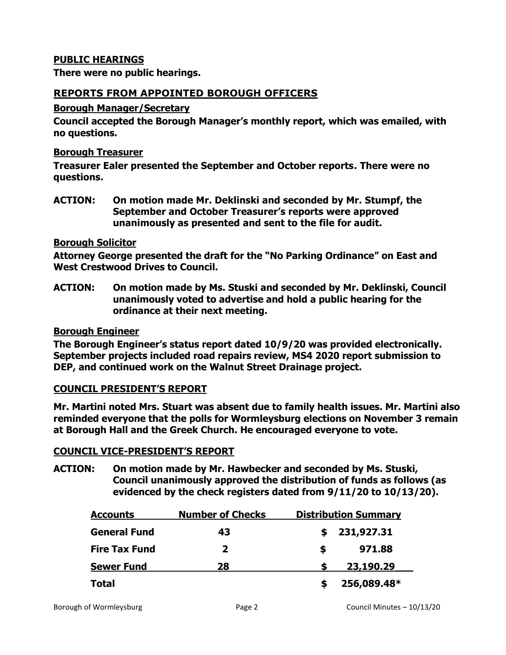# **PUBLIC HEARINGS**

**There were no public hearings.**

# **REPORTS FROM APPOINTED BOROUGH OFFICERS**

### **Borough Manager/Secretary**

**Council accepted the Borough Manager's monthly report, which was emailed, with no questions.**

### **Borough Treasurer**

**Treasurer Ealer presented the September and October reports. There were no questions.** 

**ACTION: On motion made Mr. Deklinski and seconded by Mr. Stumpf, the September and October Treasurer's reports were approved unanimously as presented and sent to the file for audit.** 

### **Borough Solicitor**

**Attorney George presented the draft for the "No Parking Ordinance" on East and West Crestwood Drives to Council.** 

**ACTION: On motion made by Ms. Stuski and seconded by Mr. Deklinski, Council unanimously voted to advertise and hold a public hearing for the ordinance at their next meeting.** 

### **Borough Engineer**

**The Borough Engineer's status report dated 10/9/20 was provided electronically. September projects included road repairs review, MS4 2020 report submission to DEP, and continued work on the Walnut Street Drainage project.** 

# **COUNCIL PRESIDENT'S REPORT**

**Mr. Martini noted Mrs. Stuart was absent due to family health issues. Mr. Martini also reminded everyone that the polls for Wormleysburg elections on November 3 remain at Borough Hall and the Greek Church. He encouraged everyone to vote.** 

### **COUNCIL VICE-PRESIDENT'S REPORT**

**ACTION: On motion made by Mr. Hawbecker and seconded by Ms. Stuski, Council unanimously approved the distribution of funds as follows (as evidenced by the check registers dated from 9/11/20 to 10/13/20).**

| <b>Accounts</b>      | <b>Number of Checks</b> | <b>Distribution Summary</b> |
|----------------------|-------------------------|-----------------------------|
| <b>General Fund</b>  | 43                      | 231,927.31                  |
| <b>Fire Tax Fund</b> | $\mathbf{z}$            | 971.88<br>S                 |
| <b>Sewer Fund</b>    | 28                      | 23,190.29                   |
| <b>Total</b>         |                         | 256,089.48*                 |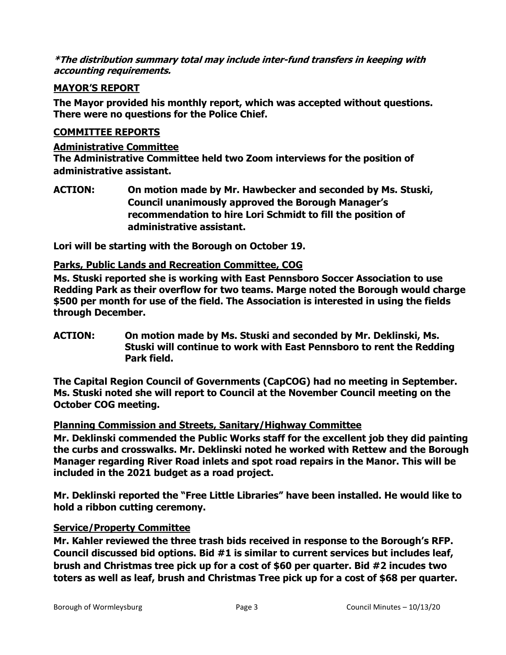**\*The distribution summary total may include inter-fund transfers in keeping with accounting requirements.** 

# **MAYOR'S REPORT**

**The Mayor provided his monthly report, which was accepted without questions. There were no questions for the Police Chief.** 

# **COMMITTEE REPORTS**

### **Administrative Committee**

**The Administrative Committee held two Zoom interviews for the position of administrative assistant.** 

**ACTION: On motion made by Mr. Hawbecker and seconded by Ms. Stuski, Council unanimously approved the Borough Manager's recommendation to hire Lori Schmidt to fill the position of administrative assistant.** 

**Lori will be starting with the Borough on October 19.** 

# **Parks, Public Lands and Recreation Committee, COG**

**Ms. Stuski reported she is working with East Pennsboro Soccer Association to use Redding Park as their overflow for two teams. Marge noted the Borough would charge \$500 per month for use of the field. The Association is interested in using the fields through December.** 

**ACTION: On motion made by Ms. Stuski and seconded by Mr. Deklinski, Ms. Stuski will continue to work with East Pennsboro to rent the Redding Park field.** 

**The Capital Region Council of Governments (CapCOG) had no meeting in September. Ms. Stuski noted she will report to Council at the November Council meeting on the October COG meeting.** 

# **Planning Commission and Streets, Sanitary/Highway Committee**

**Mr. Deklinski commended the Public Works staff for the excellent job they did painting the curbs and crosswalks. Mr. Deklinski noted he worked with Rettew and the Borough Manager regarding River Road inlets and spot road repairs in the Manor. This will be included in the 2021 budget as a road project.** 

**Mr. Deklinski reported the "Free Little Libraries" have been installed. He would like to hold a ribbon cutting ceremony.** 

# **Service/Property Committee**

**Mr. Kahler reviewed the three trash bids received in response to the Borough's RFP. Council discussed bid options. Bid #1 is similar to current services but includes leaf, brush and Christmas tree pick up for a cost of \$60 per quarter. Bid #2 incudes two toters as well as leaf, brush and Christmas Tree pick up for a cost of \$68 per quarter.**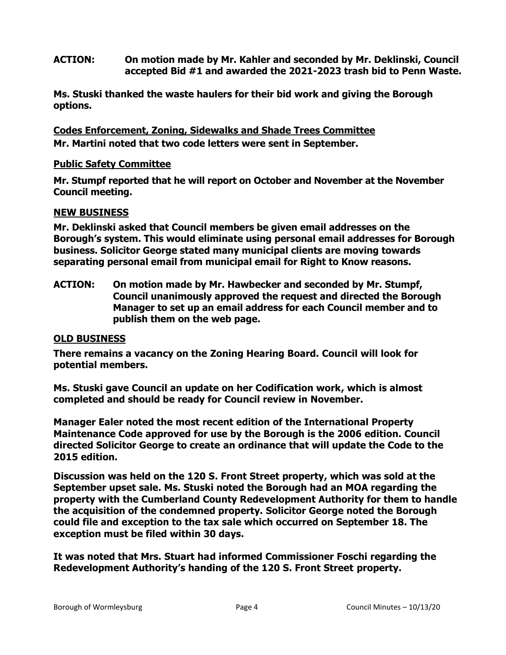### **ACTION: On motion made by Mr. Kahler and seconded by Mr. Deklinski, Council accepted Bid #1 and awarded the 2021-2023 trash bid to Penn Waste.**

**Ms. Stuski thanked the waste haulers for their bid work and giving the Borough options.** 

**Codes Enforcement, Zoning, Sidewalks and Shade Trees Committee Mr. Martini noted that two code letters were sent in September.** 

### **Public Safety Committee**

**Mr. Stumpf reported that he will report on October and November at the November Council meeting.** 

### **NEW BUSINESS**

**Mr. Deklinski asked that Council members be given email addresses on the Borough's system. This would eliminate using personal email addresses for Borough business. Solicitor George stated many municipal clients are moving towards separating personal email from municipal email for Right to Know reasons.** 

**ACTION: On motion made by Mr. Hawbecker and seconded by Mr. Stumpf, Council unanimously approved the request and directed the Borough Manager to set up an email address for each Council member and to publish them on the web page.** 

# **OLD BUSINESS**

**There remains a vacancy on the Zoning Hearing Board. Council will look for potential members.** 

**Ms. Stuski gave Council an update on her Codification work, which is almost completed and should be ready for Council review in November.** 

**Manager Ealer noted the most recent edition of the International Property Maintenance Code approved for use by the Borough is the 2006 edition. Council directed Solicitor George to create an ordinance that will update the Code to the 2015 edition.** 

**Discussion was held on the 120 S. Front Street property, which was sold at the September upset sale. Ms. Stuski noted the Borough had an MOA regarding the property with the Cumberland County Redevelopment Authority for them to handle the acquisition of the condemned property. Solicitor George noted the Borough could file and exception to the tax sale which occurred on September 18. The exception must be filed within 30 days.** 

**It was noted that Mrs. Stuart had informed Commissioner Foschi regarding the Redevelopment Authority's handing of the 120 S. Front Street property.**